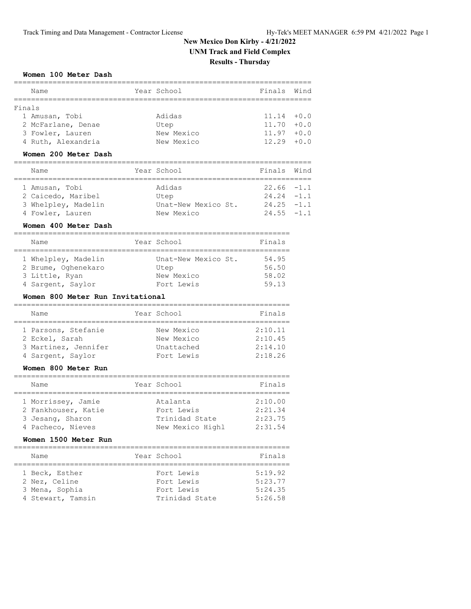### **Women 100 Meter Dash**

| Name               | Year School | Finals Wind   |  |
|--------------------|-------------|---------------|--|
| Finals             |             |               |  |
| 1 Amusan, Tobi     | Adidas      | $11.14 + 0.0$ |  |
| 2 McFarlane, Denae | Utep        | $11.70 + 0.0$ |  |
| 3 Fowler, Lauren   | New Mexico  | $11.97 + 0.0$ |  |
| 4 Ruth, Alexandria | New Mexico  | $12.29 + 0.0$ |  |
|                    |             |               |  |

### **Women 200 Meter Dash**

| Name                | Year School         | Finals Wind   |  |
|---------------------|---------------------|---------------|--|
|                     |                     |               |  |
| 1 Amusan, Tobi      | Adidas              | $22.66 - 1.1$ |  |
| 2 Caicedo, Maribel  | Utep                | $24.24 - 1.1$ |  |
| 3 Whelpley, Madelin | Unat-New Mexico St. | $24.25 -1.1$  |  |
| 4 Fowler, Lauren    | New Mexico          | $24.55 - 1.1$ |  |

### **Women 400 Meter Dash**

| Name                | Year School         | Finals |
|---------------------|---------------------|--------|
|                     |                     |        |
| 1 Whelpley, Madelin | Unat-New Mexico St. | 54.95  |
| 2 Brume, Oghenekaro | Utep                | 56.50  |
| 3 Little, Ryan      | New Mexico          | 58.02  |
| 4 Sargent, Saylor   | Fort Lewis          | 59.13  |

### **Women 800 Meter Run Invitational**

| Name                 | Year School | Finals  |
|----------------------|-------------|---------|
|                      |             |         |
| 1 Parsons, Stefanie  | New Mexico  | 2:10.11 |
| 2 Eckel, Sarah       | New Mexico  | 2:10.45 |
| 3 Martinez, Jennifer | Unattached  | 2:14.10 |
| 4 Sargent, Saylor    | Fort Lewis  | 2:18.26 |
|                      |             |         |

### **Women 800 Meter Run**

| Name                | Year School      | Finals  |
|---------------------|------------------|---------|
|                     |                  |         |
| 1 Morrissey, Jamie  | Atalanta         | 2:10.00 |
| 2 Fankhouser, Katie | Fort Lewis       | 2:21.34 |
| 3 Jesang, Sharon    | Trinidad State   | 2:23.75 |
| 4 Pacheco, Nieves   | New Mexico Highl | 2:31.54 |

### **Women 1500 Meter Run**

| Name                                                                   | Year School                                              | Finals                                   |
|------------------------------------------------------------------------|----------------------------------------------------------|------------------------------------------|
| 1 Beck, Esther<br>2 Nez, Celine<br>3 Mena, Sophia<br>4 Stewart, Tamsin | Fort Lewis<br>Fort Lewis<br>Fort Lewis<br>Trinidad State | 5:19.92<br>5:23.77<br>5:24.35<br>5:26.58 |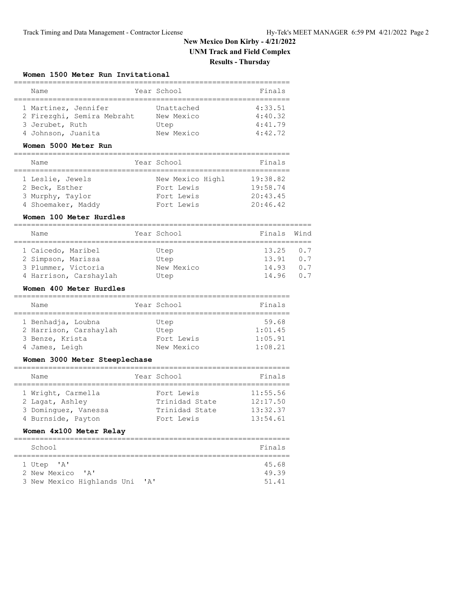### **Women 1500 Meter Run Invitational**

| Name                                                                  | Year School                      | Finals                        |
|-----------------------------------------------------------------------|----------------------------------|-------------------------------|
| 1 Martinez, Jennifer<br>2 Firezghi, Semira Mebraht<br>3 Jerubet, Ruth | Unattached<br>New Mexico<br>Utep | 4:33.51<br>4:40.32<br>4:41.79 |
| 4 Johnson, Juanita                                                    | New Mexico                       | 4:42.72                       |

### **Women 5000 Meter Run**

| Name               | Year School      | Finals   |
|--------------------|------------------|----------|
|                    |                  |          |
| 1 Leslie, Jewels   | New Mexico Highl | 19:38.82 |
| 2 Beck, Esther     | Fort Lewis       | 19:58.74 |
| 3 Murphy, Taylor   | Fort Lewis       | 20:43.45 |
| 4 Shoemaker, Maddy | Fort Lewis       | 20:46.42 |

### **Women 100 Meter Hurdles**

| Name                |                        | Year School | Finals Wind    |     |
|---------------------|------------------------|-------------|----------------|-----|
|                     |                        |             |                |     |
| 1 Caicedo, Maribel  |                        | Utep        | $13.25 \t 0.7$ |     |
| 2 Simpson, Marissa  |                        | Utep        | 13.91          | 0.7 |
| 3 Plummer, Victoria |                        | New Mexico  | 14.93          | 0.7 |
|                     | 4 Harrison, Carshaylah | Utep        | 14.96          | 0 7 |

### **Women 400 Meter Hurdles**

| Name                   | Year School | Finals  |
|------------------------|-------------|---------|
|                        |             |         |
| 1 Benhadja, Loubna     | Utep        | 59.68   |
| 2 Harrison, Carshaylah | Utep        | 1:01.45 |
| 3 Benze, Krista        | Fort Lewis  | 1:05.91 |
| 4 James, Leigh         | New Mexico  | 1:08.21 |

### **Women 3000 Meter Steeplechase**

| Name                 | Year School    | Finals   |
|----------------------|----------------|----------|
|                      |                |          |
| 1 Wright, Carmella   | Fort Lewis     | 11:55.56 |
| 2 Lagat, Ashley      | Trinidad State | 12:17.50 |
| 3 Dominquez, Vanessa | Trinidad State | 13:32.37 |
| 4 Burnside, Payton   | Fort Lewis     | 13:54.61 |

### **Women 4x100 Meter Relay**

| School                       |              | Finals |
|------------------------------|--------------|--------|
|                              |              |        |
| 1 Utep 'A'                   |              | 45.68  |
| 2 New Mexico<br>$\mathsf{A}$ |              | 49.39  |
| 3 New Mexico Highlands Uni   | $\mathsf{A}$ | 51.41  |
|                              |              |        |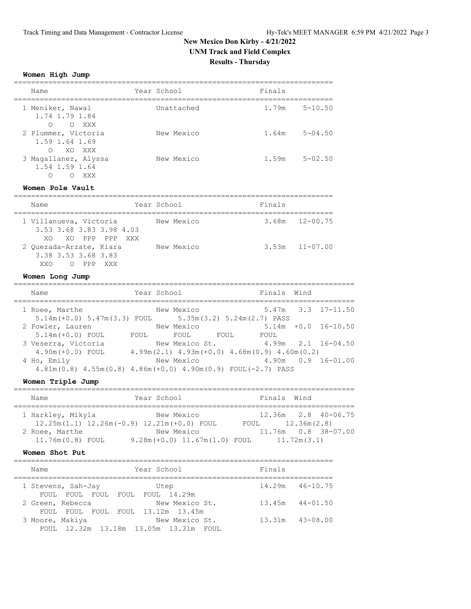# **New Mexico Don Kirby - 4/21/2022 UNM Track and Field Complex**

## **Results - Thursday**

### **Women High Jump**

| Name                                                          | Year School | Finals            |             |
|---------------------------------------------------------------|-------------|-------------------|-------------|
| 1 Meniker, Nawal<br>1.74 1.79 1.84<br>$\bigcirc$<br>O XXX     | Unattached  | 1.79m             | $5 - 10.50$ |
| 2 Plummer, Victoria<br>1.59 1.64 1.69<br>$\bigcirc$<br>XO XXX | New Mexico  | $1.64m$ $5-04.50$ |             |
| 3 Magallanez, Alyssa<br>1.54 1.59 1.64<br>∩<br>XXX            | New Mexico  | 1.59m             | $5 - 02.50$ |

### **Women Pole Vault**

| Name                                                                                    | Year School | Finals             |
|-----------------------------------------------------------------------------------------|-------------|--------------------|
| 1 Villanueva, Victoria<br>3.53 3.68 3.83 3.98 4.03<br>XO XO PPP PPP XXX                 | New Mexico  | $3.68m$ $12-00.75$ |
| 2 Quezada-Arzate, Kiara<br>3.38 3.53 3.68 3.83<br>XXO<br>PPP<br>XXX<br>$\left( \right)$ | New Mexico  | $3.53m$ $11-07.00$ |

### **Women Long Jump**

| Name                                                                              | Year School |                                                                    |      | Finals Wind |                          |
|-----------------------------------------------------------------------------------|-------------|--------------------------------------------------------------------|------|-------------|--------------------------|
| 1 Roee, Marthe<br>$5.14m (+0.0)$ $5.47m(3.3)$ FOUL $5.35m(3.2)$ $5.24m(2.7)$ PASS |             | New Mexico                                                         |      |             | $5.47m$ $3.3$ $17-11.50$ |
| 2 Fowler, Lauren                                                                  |             | New Mexico                                                         |      |             | $5.14m + 0.0 16 - 10.50$ |
| $5.14m (+0.0)$ FOUL<br>3 Veserra, Victoria                                        | FOUL.       | <b>FOUL</b><br>New Mexico St.                                      | FOUL | FOUL        | $4.99m$ $2.1$ $16-04.50$ |
| $4.90m (+0.0)$ FOUL<br>4 Ho, Emily                                                |             | $4.99m(2.1)$ $4.93m(+0.0)$ $4.68m(0.9)$ $4.60m(0.2)$<br>New Mexico |      |             | $4.90m$ $0.9$ $16-01.00$ |
| $4.81m(0.8)$ $4.55m(0.8)$ $4.86m(+0.0)$ $4.90m(0.9)$ FOUL(-2.7) PASS              |             |                                                                    |      |             |                          |

### **Women Triple Jump**

| Name              |                                                  | Year School                      | Finals Wind |                           |  |  |  |
|-------------------|--------------------------------------------------|----------------------------------|-------------|---------------------------|--|--|--|
|                   |                                                  |                                  |             |                           |  |  |  |
| 1 Harkley, Mikyla |                                                  | New Mexico                       |             | $12.36m$ $2.8$ $40-06.75$ |  |  |  |
|                   | $12.25m(1.1)$ $12.26m(-0.9)$ $12.21m(+0.0)$ FOUL |                                  | FOUL        | 12.36m(2.8)               |  |  |  |
| 2 Roee, Marthe    |                                                  | New Mexico                       |             | 11.76m  0.8  38-07.00     |  |  |  |
| 11.76m(0.8) FOUL  |                                                  | $9.28m (+0.0) 11.67m (1.0) FOUL$ |             | 11.72m(3.1)               |  |  |  |

### **Women Shot Put**

| Name                                                  | Year School    | Finals              |
|-------------------------------------------------------|----------------|---------------------|
| 1 Stevens, Sah-Jay<br>FOUL FOUL FOUL FOUL FOUL 14.29m | Utep           | $14.29m$ $46-10.75$ |
| 2 Green, Rebecca                                      | New Mexico St. | $13.45m$ $44-01.50$ |
| FOUL FOUL FOUL FOUL 13.12m 13.45m<br>3 Moore, Makiya  | New Mexico St. | $13.31m$ $43-08.00$ |
| FOUL 12.32m 13.18m 13.05m 13.31m FOUL                 |                |                     |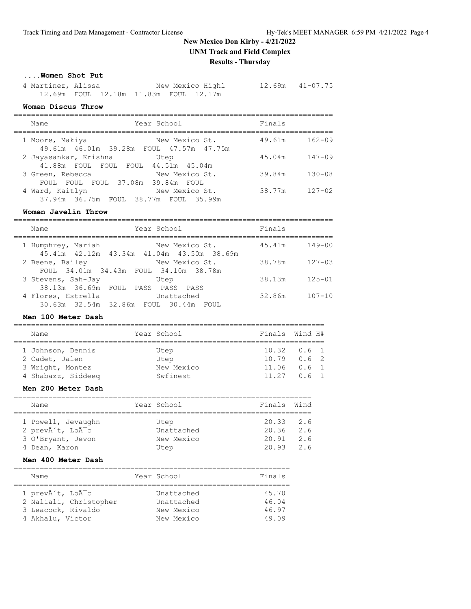### **....Women Shot Put**

| 4 Martinez, Alissa                         |  |  | New Mexico Highl | $12.69m$ $41-07.75$ |
|--------------------------------------------|--|--|------------------|---------------------|
| 12.69m  FOUL  12.18m  11.83m  FOUL  12.17m |  |  |                  |                     |

### **Women Discus Throw**

|   | WOMEN DISCUS INIOW                                                   |                |        |            |
|---|----------------------------------------------------------------------|----------------|--------|------------|
|   | Year School<br>Name                                                  |                | Finals |            |
|   | 1 Moore, Makiya<br>49.61m 46.01m 39.28m FOUL 47.57m 47.75m           | New Mexico St. | 49.61m | $162 - 09$ |
|   | 2 Jayasankar, Krishna<br>Utep<br>41.88m FOUL FOUL FOUL 44.51m 45.04m |                | 45.04m | $147 - 09$ |
|   | 3 Green, Rebecca<br>FOUL FOUL FOUL 37.08m 39.84m FOUL                | New Mexico St. | 39.84m | $130 - 08$ |
| 4 | Ward, Kaitlyn<br>37.94m 36.75m FOUL 38.77m FOUL 35.99m               | New Mexico St. | 38.77m | $127 - 02$ |

### **Women Javelin Throw**

| Name                                                            | Year School    | Finals               |
|-----------------------------------------------------------------|----------------|----------------------|
| 1 Humphrey, Mariah<br>45.41m 42.12m 43.34m 41.04m 43.50m 38.69m | New Mexico St. | $149 - 00$<br>45.41m |
| 2 Beene, Bailey<br>FOUL 34.01m 34.43m FOUL 34.10m 38.78m        | New Mexico St. | $127 - 03$<br>38.78m |
| 3 Stevens, Sah-Jay<br>38.13m 36.69m FOUL PASS PASS PASS         | Utep           | $125 - 01$<br>38.13m |
| 4 Flores, Estrella<br>30.63m 32.54m 32.86m FOUL 30.44m FOUL     | Unattached     | 32.86m<br>$107 - 10$ |

### **Men 100 Meter Dash**

| Name               |  | Year School | Finals Wind H#  |  |  |  |  |  |
|--------------------|--|-------------|-----------------|--|--|--|--|--|
|                    |  |             |                 |  |  |  |  |  |
| 1 Johnson, Dennis  |  | Utep        | $10.32 \t 0.61$ |  |  |  |  |  |
| 2 Cadet, Jalen     |  | Utep        | $10.79$ $0.6$ 2 |  |  |  |  |  |
| 3 Wright, Montez   |  | New Mexico  | $11.06$ $0.6$ 1 |  |  |  |  |  |
| 4 Shabazz, Siddeeg |  | Swfinest    | $11.27$ 0.6 1   |  |  |  |  |  |

### **Men 200 Meter Dash**

| Name               | Year School | Finals Wind   |     |
|--------------------|-------------|---------------|-----|
| 1 Powell, Jevaughn | Utep        | $20.33$ $2.6$ |     |
| 2 prevà t, Loà c   | Unattached  | $20.36$ $2.6$ |     |
| 3 O'Bryant, Jevon  | New Mexico  | 20.91         | 2.6 |
| 4 Dean, Karon      | Utep        | 20.93         | 2.6 |

### **Men 400 Meter Dash**

| Name                        | Year School | Finals |
|-----------------------------|-------------|--------|
|                             |             |        |
| 1 prevôt, LoÃ <sup>-c</sup> | Unattached  | 45.70  |
| 2 Naliali, Christopher      | Unattached  | 46.04  |
| 3 Leacock, Rivaldo          | New Mexico  | 46.97  |
| 4 Akhalu, Victor            | New Mexico  | 49.09  |
|                             |             |        |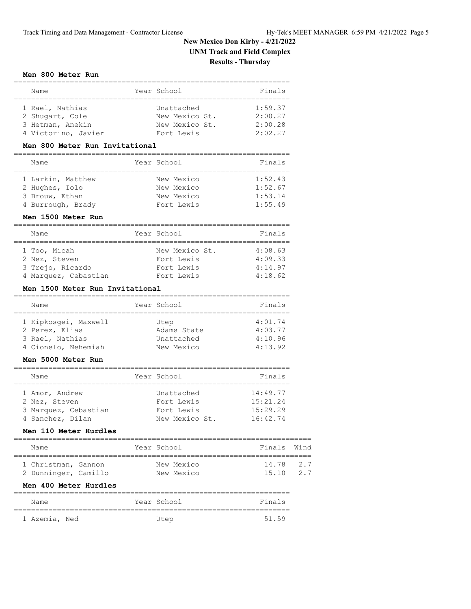### **Men 800 Meter Run**

| Name                                                                          | Year School                                                  | Finals                                   |
|-------------------------------------------------------------------------------|--------------------------------------------------------------|------------------------------------------|
| 1 Rael, Nathias<br>2 Shugart, Cole<br>3 Hetman, Anekin<br>4 Victorino, Javier | Unattached<br>New Mexico St.<br>New Mexico St.<br>Fort Lewis | 1:59.37<br>2:00.27<br>2:00.28<br>2:02.27 |

### **Men 800 Meter Run Invitational**

|  | Name              |  | Year School | Finals  |  |  |
|--|-------------------|--|-------------|---------|--|--|
|  |                   |  |             |         |  |  |
|  | 1 Larkin, Matthew |  | New Mexico  | 1:52.43 |  |  |
|  | 2 Hughes, Iolo    |  | New Mexico  | 1:52.67 |  |  |
|  | 3 Brouw, Ethan    |  | New Mexico  | 1:53.14 |  |  |
|  | 4 Burrough, Brady |  | Fort Lewis  | 1:55.49 |  |  |

#### **Men 1500 Meter Run**

|  | Name                 |  | Year School    | Finals  |  |  |
|--|----------------------|--|----------------|---------|--|--|
|  |                      |  |                |         |  |  |
|  | 1 Too, Micah         |  | New Mexico St. | 4:08.63 |  |  |
|  | 2 Nez, Steven        |  | Fort Lewis     | 4:09.33 |  |  |
|  | 3 Trejo, Ricardo     |  | Fort Lewis     | 4:14.97 |  |  |
|  | 4 Marquez, Cebastian |  | Fort Lewis     | 4:18.62 |  |  |

### **Men 1500 Meter Run Invitational**

|  | Name                 |  | Year School | Finals  |  |  |
|--|----------------------|--|-------------|---------|--|--|
|  |                      |  |             |         |  |  |
|  | 1 Kipkosqei, Maxwell |  | Utep        | 4:01.74 |  |  |
|  | 2 Perez, Elias       |  | Adams State | 4:03.77 |  |  |
|  | 3 Rael, Nathias      |  | Unattached  | 4:10.96 |  |  |
|  | 4 Cionelo, Nehemiah  |  | New Mexico  | 4:13.92 |  |  |

### **Men 5000 Meter Run**

|  | Name                 |  | Year School    | Finals   |  |  |
|--|----------------------|--|----------------|----------|--|--|
|  |                      |  |                |          |  |  |
|  | 1 Amor, Andrew       |  | Unattached     | 14:49.77 |  |  |
|  | 2 Nez, Steven        |  | Fort Lewis     | 15:21.24 |  |  |
|  | 3 Marquez, Cebastian |  | Fort Lewis     | 15:29.29 |  |  |
|  | 4 Sanchez, Dilan     |  | New Mexico St. | 16:42.74 |  |  |

### **Men 110 Meter Hurdles**

|  | Name                 |  |  | Year School | Finals Wind |     |  |  |
|--|----------------------|--|--|-------------|-------------|-----|--|--|
|  |                      |  |  |             |             |     |  |  |
|  | 1 Christman, Gannon  |  |  | New Mexico  | 14.78 2.7   |     |  |  |
|  | 2 Dunninger, Camillo |  |  | New Mexico  | 15.10       | 2.7 |  |  |

#### **Men 400 Meter Hurdles**

| Name          |  | Year School | Finals |
|---------------|--|-------------|--------|
|               |  |             |        |
| 1 Azemia, Ned |  | Utep        | 51.59  |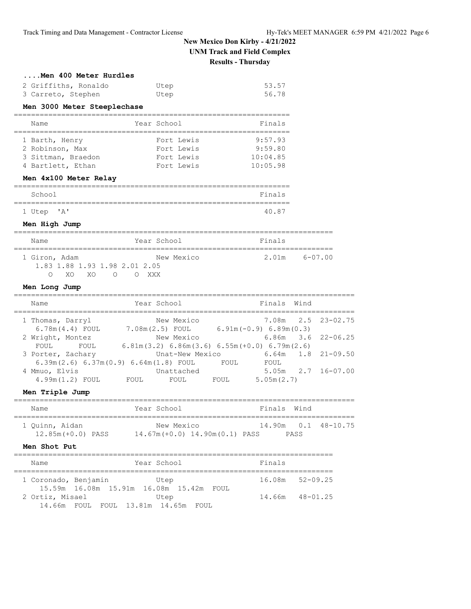| Men 400 Meter Hurdles                                                         |                                                      |                     |                           |
|-------------------------------------------------------------------------------|------------------------------------------------------|---------------------|---------------------------|
| 2 Griffiths, Ronaldo<br>3 Carreto, Stephen                                    | Utep<br>Utep                                         | 53.57<br>56.78      |                           |
| Men 3000 Meter Steeplechase                                                   |                                                      |                     |                           |
| =====<br>--------------------<br>Name                                         | Year School                                          | Finals              |                           |
| 1 Barth, Henry                                                                | Fort Lewis                                           | 9:57.93             |                           |
| 2 Robinson, Max                                                               | Fort Lewis<br>Fort Lewis                             | 9:59.80<br>10:04.85 |                           |
| 3 Sittman, Braedon<br>4 Bartlett, Ethan                                       | Fort Lewis                                           | 10:05.98            |                           |
| Men 4x100 Meter Relay                                                         |                                                      |                     |                           |
| School                                                                        |                                                      | Finals              |                           |
| 1 Utep 'A'                                                                    |                                                      | 40.87               |                           |
| Men High Jump                                                                 |                                                      |                     |                           |
| Name                                                                          | Year School                                          | Finals              |                           |
| 1 Giron, Adam<br>1.83 1.88 1.93 1.98 2.01 2.05<br>$\circ$<br>XO XO<br>O O XXX | New Mexico                                           | 2.01m               | $6 - 07.00$               |
| Men Long Jump                                                                 |                                                      |                     |                           |
| Name                                                                          | Year School                                          | Finals Wind         |                           |
| 1 Thomas, Darryl                                                              | New Mexico                                           | 7.08m               | $23 - 02.75$<br>2.5       |
| 6.78m(4.4) FOUL 7.08m(2.5) FOUL 6.91m(-0.9) 6.89m(0.3)<br>2 Wright, Montez    | New Mexico                                           | 6.86m               | $22 - 06.25$<br>3.6       |
| FOUL<br>FOUL                                                                  | $6.81m(3.2) 6.86m(3.6) 6.55m(+0.0) 6.79m(2.6)$       |                     |                           |
| 3 Porter, Zachary                                                             | Unat-New Mexico                                      | 6.64m               | $21 - 09.50$<br>1.8       |
| 6.39m(2.6) 6.37m(0.9) 6.64m(1.8) FOUL<br>4 Mmuo, Elvis                        | FOUL<br>Unattached                                   | FOUL                | 5.05m 2.7<br>$16 - 07.00$ |
| 4.99m (1.2) FOUL<br><b>FOUL</b>                                               | FOUL<br>FOUL                                         | 5.05m(2.7)          |                           |
| Men Triple Jump                                                               |                                                      |                     |                           |
| Name                                                                          | Year School                                          | Finals              | Wind                      |
| 1 Quinn, Aidan                                                                | New Mexico                                           |                     | 14.90m  0.1  48-10.75     |
| Men Shot Put                                                                  |                                                      |                     |                           |
| Name                                                                          | Year School                                          | Finals              |                           |
| 1 Coronado, Benjamin                                                          | Utep                                                 | 16.08m              | $52 - 09.25$              |
| 2 Ortiz, Misael<br>14.66m FOUL FOUL 13.81m 14.65m FOUL                        | 15.59m  16.08m  15.91m  16.08m  15.42m  FOUL<br>Utep |                     | 14.66m 48-01.25           |